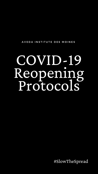# COVID-19 Reopening Protocols

AVEDA INSTITUTE DES MOINES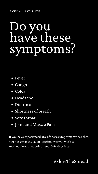- Fever
- Cough
- Colds
- Headache  $\bullet$
- Diarrhea
- Shortness of breath
- Sore throat
- Joint and Muscle Pain

If you have experienced any of these symptoms we ask that you not enter the salon location. We will work to reschedule your appointment 10-14 days later.

# Do you have these symptoms?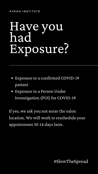# Have you had Exposure?

If yes, we ask you not enter the salon location. We will work to reschedule your appointment 10-14 days later.

- Exposure to a confirmed COVID-19 patient
- Exposure to a Person Under Investigation (PUI) for COVID-19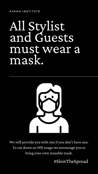## All Stylist and Guests must wear a mask.



We will provide you with one if you don't have one. To cut down on PPE usage we encourage you to bring your own reusable mask.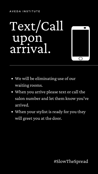## Text/Call upon arrival.



- We will be eliminating use of our waiting rooms.
- When you arrive please text or call the salon number and let them know you've arrived.

• When your stylist is ready for you they will greet you at the door.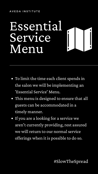## Essential Service Menu

- To limit the time each client spends in the salon we will be implementing an 'Essential Service' Menu.
- This menu is designed to ensure that all guests can be accommodated in a

• If you are a looking for a service we aren't currently providing, rest assured we will return to our normal service offerings when it is possible to do so.

### timely manner.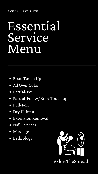## Essential Service Menu

- Root-Touch Up
- All Over Color
- Partial-Foil
- Partial-Foil w/ Root Touch up  $\bullet$
- Full-Foil  $\bullet$
- Dry Haircuts  $\bullet$
- Extension Removal  $\bullet$
- Nail Services  $\bullet$
- Massage  $\bullet$
- Esthiology $\bullet$

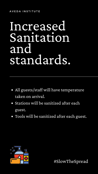## Increased Sanitation and standards.

- All guests/staff will have temperature taken on arrival.
- Stations will be sanitized after each

### guest.

Tools will be sanitized after each guest.

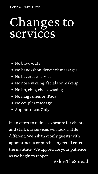### A V E D A IN STITUTE

# Changesto services

- No blow-outs
- No hand/shoulder/neck massages
- No beverage service
- No nose waxing, facials or makeup
- No lip, chin, cheek waxing
- No magazines or iPads
- No couples massage
- 

### Appointment Only

In an effort to reduce exposure for clients and staff, our services will look a little different. We ask that only guests with appointments or purchasing retail enter the institute. We appreciate your patience as we begin to reopen.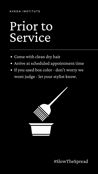#### A V E D A IN STITUTE

# Prior to Service

- Come with clean dry hair
- Arrive at scheduled appointment time  $\bullet$
- If you used box color don't worry we wont judge - let your stylist know.